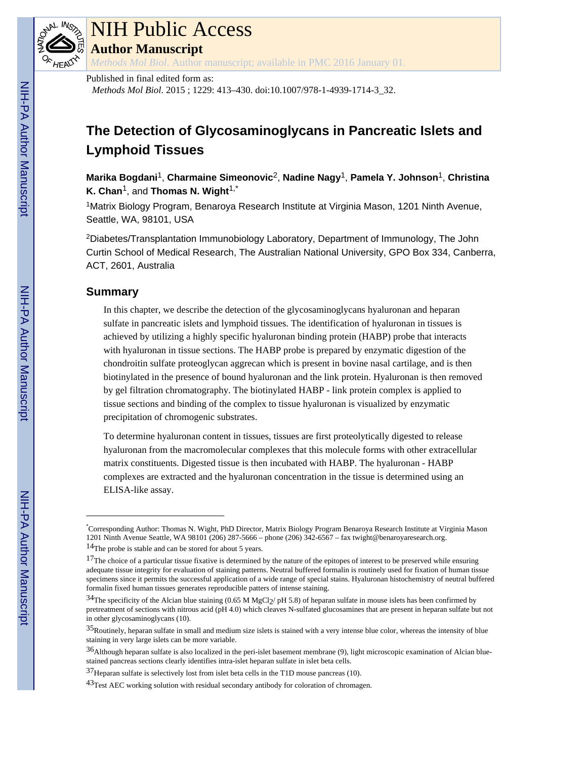

# NIH Public Access

**Author Manuscript**

*Methods Mol Biol*. Author manuscript; available in PMC 2016 January 01.

Published in final edited form as:

*Methods Mol Biol*. 2015 ; 1229: 413–430. doi:10.1007/978-1-4939-1714-3\_32.

# **The Detection of Glycosaminoglycans in Pancreatic Islets and Lymphoid Tissues**

**Marika Bogdani**1, **Charmaine Simeonovic**2, **Nadine Nagy**1, **Pamela Y. Johnson**1, **Christina K. Chan<sup>1</sup>, and Thomas N. Wight<sup>1,\*</sup>** 

<sup>1</sup>Matrix Biology Program, Benaroya Research Institute at Virginia Mason, 1201 Ninth Avenue, Seattle, WA, 98101, USA

<sup>2</sup>Diabetes/Transplantation Immunobiology Laboratory, Department of Immunology, The John Curtin School of Medical Research, The Australian National University, GPO Box 334, Canberra, ACT, 2601, Australia

# **Summary**

In this chapter, we describe the detection of the glycosaminoglycans hyaluronan and heparan sulfate in pancreatic islets and lymphoid tissues. The identification of hyaluronan in tissues is achieved by utilizing a highly specific hyaluronan binding protein (HABP) probe that interacts with hyaluronan in tissue sections. The HABP probe is prepared by enzymatic digestion of the chondroitin sulfate proteoglycan aggrecan which is present in bovine nasal cartilage, and is then biotinylated in the presence of bound hyaluronan and the link protein. Hyaluronan is then removed by gel filtration chromatography. The biotinylated HABP - link protein complex is applied to tissue sections and binding of the complex to tissue hyaluronan is visualized by enzymatic precipitation of chromogenic substrates.

To determine hyaluronan content in tissues, tissues are first proteolytically digested to release hyaluronan from the macromolecular complexes that this molecule forms with other extracellular matrix constituents. Digested tissue is then incubated with HABP. The hyaluronan - HABP complexes are extracted and the hyaluronan concentration in the tissue is determined using an ELISA-like assay.

<sup>\*</sup>Corresponding Author: Thomas N. Wight, PhD Director, Matrix Biology Program Benaroya Research Institute at Virginia Mason 1201 Ninth Avenue Seattle, WA 98101 (206) 287-5666 – phone (206) 342-6567 – fax twight@benaroyaresearch.org.

<sup>14</sup>The probe is stable and can be stored for about 5 years.

 $17$ The choice of a particular tissue fixative is determined by the nature of the epitopes of interest to be preserved while ensuring adequate tissue integrity for evaluation of staining patterns. Neutral buffered formalin is routinely used for fixation of human tissue specimens since it permits the successful application of a wide range of special stains. Hyaluronan histochemistry of neutral buffered formalin fixed human tissues generates reproducible patters of intense staining.

 $34$ The specificity of the Alcian blue staining (0.65 M MgCl<sub>2</sub>/ pH 5.8) of heparan sulfate in mouse islets has been confirmed by pretreatment of sections with nitrous acid (pH 4.0) which cleaves N-sulfated glucosamines that are present in heparan sulfate but not in other glycosaminoglycans (10).

<sup>35</sup>Routinely, heparan sulfate in small and medium size islets is stained with a very intense blue color, whereas the intensity of blue staining in very large islets can be more variable.

<sup>36</sup>Although heparan sulfate is also localized in the peri-islet basement membrane (9), light microscopic examination of Alcian bluestained pancreas sections clearly identifies intra-islet heparan sulfate in islet beta cells.

<sup>37</sup>Heparan sulfate is selectively lost from islet beta cells in the T1D mouse pancreas (10).

 $43$ Test AEC working solution with residual secondary antibody for coloration of chromagen.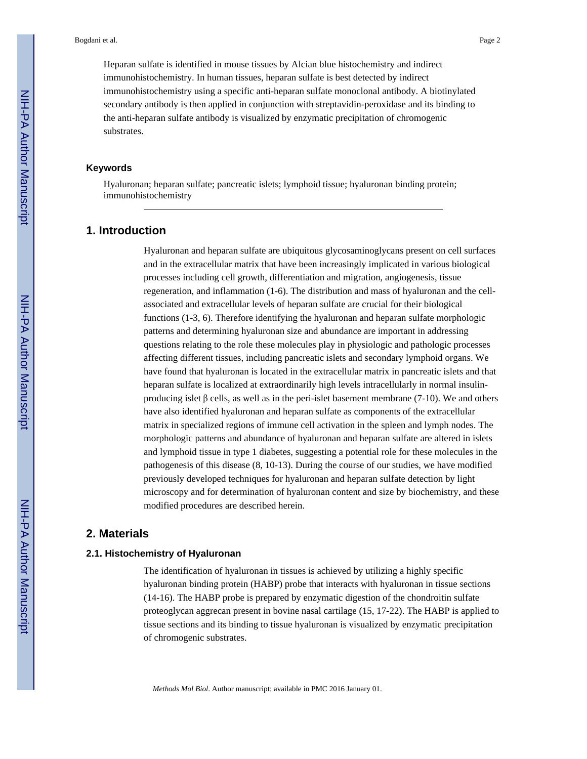Heparan sulfate is identified in mouse tissues by Alcian blue histochemistry and indirect immunohistochemistry. In human tissues, heparan sulfate is best detected by indirect immunohistochemistry using a specific anti-heparan sulfate monoclonal antibody. A biotinylated secondary antibody is then applied in conjunction with streptavidin-peroxidase and its binding to the anti-heparan sulfate antibody is visualized by enzymatic precipitation of chromogenic substrates.

#### **Keywords**

Hyaluronan; heparan sulfate; pancreatic islets; lymphoid tissue; hyaluronan binding protein; immunohistochemistry

# **1. Introduction**

Hyaluronan and heparan sulfate are ubiquitous glycosaminoglycans present on cell surfaces and in the extracellular matrix that have been increasingly implicated in various biological processes including cell growth, differentiation and migration, angiogenesis, tissue regeneration, and inflammation (1-6). The distribution and mass of hyaluronan and the cellassociated and extracellular levels of heparan sulfate are crucial for their biological functions (1-3, 6). Therefore identifying the hyaluronan and heparan sulfate morphologic patterns and determining hyaluronan size and abundance are important in addressing questions relating to the role these molecules play in physiologic and pathologic processes affecting different tissues, including pancreatic islets and secondary lymphoid organs. We have found that hyaluronan is located in the extracellular matrix in pancreatic islets and that heparan sulfate is localized at extraordinarily high levels intracellularly in normal insulinproducing islet  $\beta$  cells, as well as in the peri-islet basement membrane (7-10). We and others have also identified hyaluronan and heparan sulfate as components of the extracellular matrix in specialized regions of immune cell activation in the spleen and lymph nodes. The morphologic patterns and abundance of hyaluronan and heparan sulfate are altered in islets and lymphoid tissue in type 1 diabetes, suggesting a potential role for these molecules in the pathogenesis of this disease (8, 10-13). During the course of our studies, we have modified previously developed techniques for hyaluronan and heparan sulfate detection by light microscopy and for determination of hyaluronan content and size by biochemistry, and these modified procedures are described herein.

# **2. Materials**

# **2.1. Histochemistry of Hyaluronan**

The identification of hyaluronan in tissues is achieved by utilizing a highly specific hyaluronan binding protein (HABP) probe that interacts with hyaluronan in tissue sections (14-16). The HABP probe is prepared by enzymatic digestion of the chondroitin sulfate proteoglycan aggrecan present in bovine nasal cartilage (15, 17-22). The HABP is applied to tissue sections and its binding to tissue hyaluronan is visualized by enzymatic precipitation of chromogenic substrates.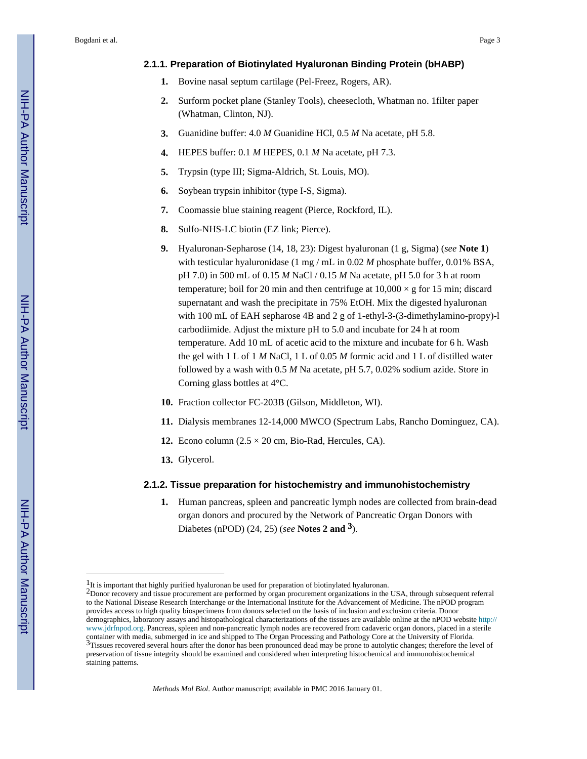# **2.1.1. Preparation of Biotinylated Hyaluronan Binding Protein (bHABP)**

- **1.** Bovine nasal septum cartilage (Pel-Freez, Rogers, AR).
- **2.** Surform pocket plane (Stanley Tools), cheesecloth, Whatman no. 1filter paper (Whatman, Clinton, NJ).
- **3.** Guanidine buffer: 4.0 *M* Guanidine HCl, 0.5 *M* Na acetate, pH 5.8.
- **4.** HEPES buffer: 0.1 *M* HEPES, 0.1 *M* Na acetate, pH 7.3.
- **5.** Trypsin (type III; Sigma-Aldrich, St. Louis, MO).
- **6.** Soybean trypsin inhibitor (type I-S, Sigma).
- **7.** Coomassie blue staining reagent (Pierce, Rockford, IL).
- **8.** Sulfo-NHS-LC biotin (EZ link; Pierce).
- **9.** Hyaluronan-Sepharose (14, 18, 23): Digest hyaluronan (1 g, Sigma) (*see* **Note 1**) with testicular hyaluronidase (1 mg / mL in 0.02 *M* phosphate buffer, 0.01% BSA, pH 7.0) in 500 mL of 0.15 *M* NaCl / 0.15 *M* Na acetate, pH 5.0 for 3 h at room temperature; boil for 20 min and then centrifuge at  $10,000 \times g$  for 15 min; discard supernatant and wash the precipitate in 75% EtOH. Mix the digested hyaluronan with 100 mL of EAH sepharose 4B and 2 g of 1-ethyl-3-(3-dimethylamino-propy)-l carbodiimide. Adjust the mixture pH to 5.0 and incubate for 24 h at room temperature. Add 10 mL of acetic acid to the mixture and incubate for 6 h. Wash the gel with 1 L of 1 *M* NaCl, 1 L of 0.05 *M* formic acid and 1 L of distilled water followed by a wash with 0.5 *M* Na acetate, pH 5.7, 0.02% sodium azide. Store in Corning glass bottles at 4°C.
- **10.** Fraction collector FC-203B (Gilson, Middleton, WI).
- **11.** Dialysis membranes 12-14,000 MWCO (Spectrum Labs, Rancho Dominguez, CA).
- **12.** Econo column  $(2.5 \times 20 \text{ cm}, \text{Bio-Rad}, \text{Hercules}, \text{CA})$ .
- **13.** Glycerol.

# **2.1.2. Tissue preparation for histochemistry and immunohistochemistry**

**1.** Human pancreas, spleen and pancreatic lymph nodes are collected from brain-dead organ donors and procured by the Network of Pancreatic Organ Donors with Diabetes (nPOD) (24, 25) (*see* **Notes 2 and 3**).

<sup>&</sup>lt;sup>1</sup>It is important that highly purified hyaluronan be used for preparation of biotinylated hyaluronan.

<sup>&</sup>lt;sup>2</sup>Donor recovery and tissue procurement are performed by organ procurement organizations in the USA, through subsequent referral to the National Disease Research Interchange or the International Institute for the Advancement of Medicine. The nPOD program provides access to high quality biospecimens from donors selected on the basis of inclusion and exclusion criteria. Donor demographics, laboratory assays and histopathological characterizations of the tissues are available online at the nPOD website [http://](http://www.jdrfnpod.org) [www.jdrfnpod.org.](http://www.jdrfnpod.org) Pancreas, spleen and non-pancreatic lymph nodes are recovered from cadaveric organ donors, placed in a sterile container with media, submerged in ice and shipped to The Organ Processing and Pathology Core at the University of Florida.<br><sup>3</sup>Tissues recovered several hours after the donor has been pronounced dead may be prone to autoly preservation of tissue integrity should be examined and considered when interpreting histochemical and immunohistochemical staining patterns.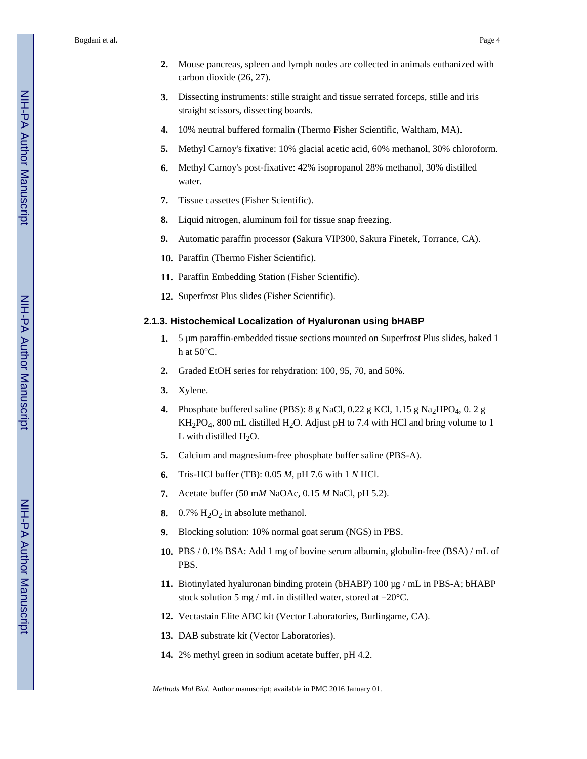- **2.** Mouse pancreas, spleen and lymph nodes are collected in animals euthanized with carbon dioxide (26, 27).
- **3.** Dissecting instruments: stille straight and tissue serrated forceps, stille and iris straight scissors, dissecting boards.
- **4.** 10% neutral buffered formalin (Thermo Fisher Scientific, Waltham, MA).
- **5.** Methyl Carnoy's fixative: 10% glacial acetic acid, 60% methanol, 30% chloroform.
- **6.** Methyl Carnoy's post-fixative: 42% isopropanol 28% methanol, 30% distilled water.
- **7.** Tissue cassettes (Fisher Scientific).
- **8.** Liquid nitrogen, aluminum foil for tissue snap freezing.
- **9.** Automatic paraffin processor (Sakura VIP300, Sakura Finetek, Torrance, CA).
- **10.** Paraffin (Thermo Fisher Scientific).
- **11.** Paraffin Embedding Station (Fisher Scientific).
- **12.** Superfrost Plus slides (Fisher Scientific).

#### **2.1.3. Histochemical Localization of Hyaluronan using bHABP**

- **1.** 5 μm paraffin-embedded tissue sections mounted on Superfrost Plus slides, baked 1 h at  $50^{\circ}$ C.
- **2.** Graded EtOH series for rehydration: 100, 95, 70, and 50%.
- **3.** Xylene.
- **4.** Phosphate buffered saline (PBS):  $8 \text{ g NaCl}$ ,  $0.22 \text{ g KCl}$ ,  $1.15 \text{ g Na}_2$ HPO<sub>4</sub>,  $0.2 \text{ g}$  $KH_2PO_4$ , 800 mL distilled H<sub>2</sub>O. Adjust pH to 7.4 with HCl and bring volume to 1 L with distilled  $H_2O$ .
- **5.** Calcium and magnesium-free phosphate buffer saline (PBS-A).
- **6.** Tris-HCl buffer (TB): 0.05 *M*, pH 7.6 with 1 *N* HCl.
- **7.** Acetate buffer (50 m*M* NaOAc, 0.15 *M* NaCl, pH 5.2).
- **8.** 0.7%  $H_2O_2$  in absolute methanol.
- **9.** Blocking solution: 10% normal goat serum (NGS) in PBS.
- **10.** PBS / 0.1% BSA: Add 1 mg of bovine serum albumin, globulin-free (BSA) / mL of PBS.
- **11.** Biotinylated hyaluronan binding protein (bHABP) 100 μg / mL in PBS-A; bHABP stock solution 5 mg / mL in distilled water, stored at −20°C.
- **12.** Vectastain Elite ABC kit (Vector Laboratories, Burlingame, CA).
- **13.** DAB substrate kit (Vector Laboratories).
- **14.** 2% methyl green in sodium acetate buffer, pH 4.2.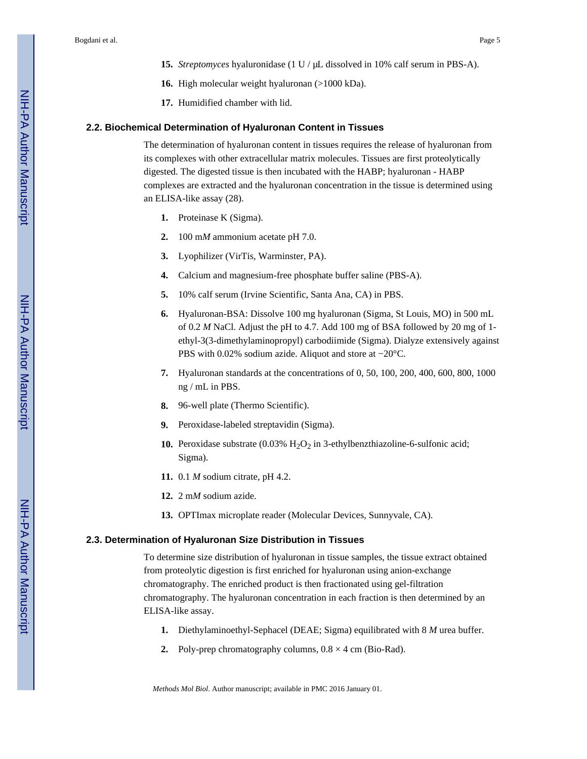- **15.** *Streptomyces* hyaluronidase (1 U / μL dissolved in 10% calf serum in PBS-A).
- **16.** High molecular weight hyaluronan (>1000 kDa).
- **17.** Humidified chamber with lid.

# **2.2. Biochemical Determination of Hyaluronan Content in Tissues**

The determination of hyaluronan content in tissues requires the release of hyaluronan from its complexes with other extracellular matrix molecules. Tissues are first proteolytically digested. The digested tissue is then incubated with the HABP; hyaluronan - HABP complexes are extracted and the hyaluronan concentration in the tissue is determined using an ELISA-like assay (28).

- **1.** Proteinase K (Sigma).
- **2.** 100 m*M* ammonium acetate pH 7.0.
- **3.** Lyophilizer (VirTis, Warminster, PA).
- **4.** Calcium and magnesium-free phosphate buffer saline (PBS-A).
- **5.** 10% calf serum (Irvine Scientific, Santa Ana, CA) in PBS.
- **6.** Hyaluronan-BSA: Dissolve 100 mg hyaluronan (Sigma, St Louis, MO) in 500 mL of 0.2 *M* NaCl. Adjust the pH to 4.7. Add 100 mg of BSA followed by 20 mg of 1 ethyl-3(3-dimethylaminopropyl) carbodiimide (Sigma). Dialyze extensively against PBS with 0.02% sodium azide. Aliquot and store at −20°C.
- **7.** Hyaluronan standards at the concentrations of 0, 50, 100, 200, 400, 600, 800, 1000 ng / mL in PBS.
- **8.** 96-well plate (Thermo Scientific).
- **9.** Peroxidase-labeled streptavidin (Sigma).
- **10.** Peroxidase substrate  $(0.03\% \text{ H}_2\text{O}_2 \text{ in 3-ethylbenzthiazoline-6-sulfonic acid};$ Sigma).
- **11.** 0.1 *M* sodium citrate, pH 4.2.
- **12.** 2 m*M* sodium azide.
- **13.** OPTImax microplate reader (Molecular Devices, Sunnyvale, CA).

# **2.3. Determination of Hyaluronan Size Distribution in Tissues**

To determine size distribution of hyaluronan in tissue samples, the tissue extract obtained from proteolytic digestion is first enriched for hyaluronan using anion-exchange chromatography. The enriched product is then fractionated using gel-filtration chromatography. The hyaluronan concentration in each fraction is then determined by an ELISA-like assay.

- **1.** Diethylaminoethyl-Sephacel (DEAE; Sigma) equilibrated with 8 *M* urea buffer.
- **2.** Poly-prep chromatography columns,  $0.8 \times 4$  cm (Bio-Rad).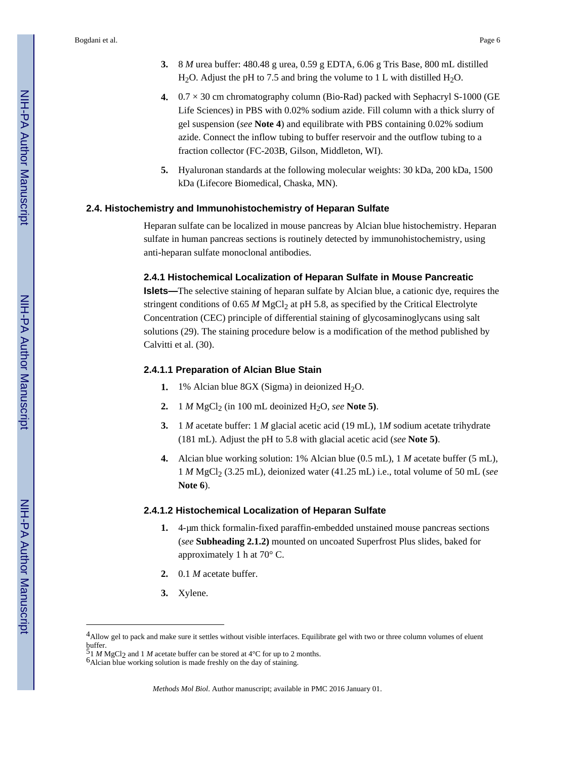- **3.** 8 *M* urea buffer: 480.48 g urea, 0.59 g EDTA, 6.06 g Tris Base, 800 mL distilled H<sub>2</sub>O. Adjust the pH to 7.5 and bring the volume to 1 L with distilled H<sub>2</sub>O.
- **4.** 0.7 × 30 cm chromatography column (Bio-Rad) packed with Sephacryl S-1000 (GE Life Sciences) in PBS with 0.02% sodium azide. Fill column with a thick slurry of gel suspension (*see* **Note 4**) and equilibrate with PBS containing 0.02% sodium azide. Connect the inflow tubing to buffer reservoir and the outflow tubing to a fraction collector (FC-203B, Gilson, Middleton, WI).
- **5.** Hyaluronan standards at the following molecular weights: 30 kDa, 200 kDa, 1500 kDa (Lifecore Biomedical, Chaska, MN).

#### **2.4. Histochemistry and Immunohistochemistry of Heparan Sulfate**

Heparan sulfate can be localized in mouse pancreas by Alcian blue histochemistry. Heparan sulfate in human pancreas sections is routinely detected by immunohistochemistry, using anti-heparan sulfate monoclonal antibodies.

#### **2.4.1 Histochemical Localization of Heparan Sulfate in Mouse Pancreatic**

**Islets—**The selective staining of heparan sulfate by Alcian blue, a cationic dye, requires the stringent conditions of 0.65 *M* MgCl<sub>2</sub> at pH 5.8, as specified by the Critical Electrolyte Concentration (CEC) principle of differential staining of glycosaminoglycans using salt solutions (29). The staining procedure below is a modification of the method published by Calvitti et al. (30).

# **2.4.1.1 Preparation of Alcian Blue Stain**

- **1.** 1% Alcian blue 8GX (Sigma) in deionized  $H_2O$ .
- **2.** 1 *M* MgCl<sub>2</sub> (in 100 mL deoinized H<sub>2</sub>O, *see* **Note 5**).
- **3.** 1 *M* acetate buffer: 1 *M* glacial acetic acid (19 mL), 1*M* sodium acetate trihydrate (181 mL). Adjust the pH to 5.8 with glacial acetic acid (*see* **Note 5)**.
- **4.** Alcian blue working solution: 1% Alcian blue (0.5 mL), 1 *M* acetate buffer (5 mL), 1 *M* MgCl2 (3.25 mL), deionized water (41.25 mL) i.e., total volume of 50 mL (*see*  **Note 6**).

#### **2.4.1.2 Histochemical Localization of Heparan Sulfate**

- **1.** 4-μm thick formalin-fixed paraffin-embedded unstained mouse pancreas sections (*see* **Subheading 2.1.2)** mounted on uncoated Superfrost Plus slides, baked for approximately 1 h at 70° C.
- **2.** 0.1 *M* acetate buffer.
- **3.** Xylene.

<sup>4</sup>Allow gel to pack and make sure it settles without visible interfaces. Equilibrate gel with two or three column volumes of eluent  $\frac{buffer}{54}$ 

<sup>51</sup> *M* MgCl2 and 1 *M* acetate buffer can be stored at 4°C for up to 2 months.

<sup>6</sup>Alcian blue working solution is made freshly on the day of staining.

*Methods Mol Biol*. Author manuscript; available in PMC 2016 January 01.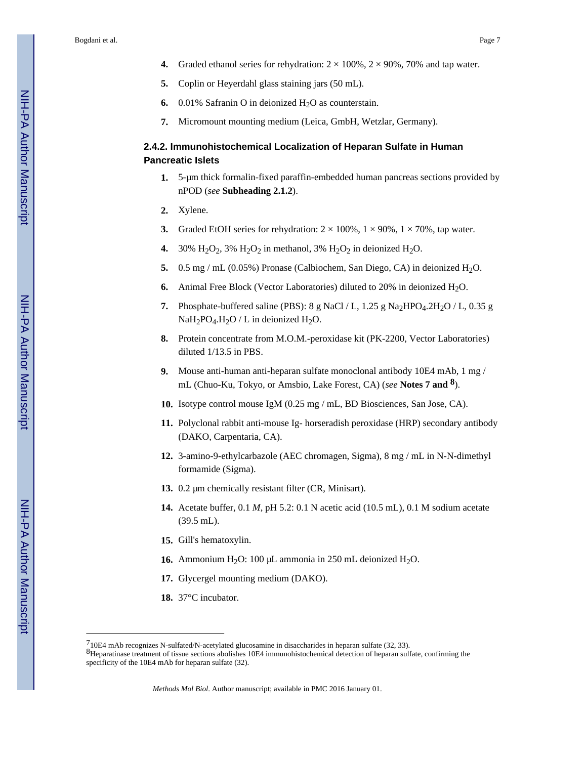- **4.** Graded ethanol series for rehydration:  $2 \times 100\%$ ,  $2 \times 90\%$ , 70% and tap water.
- **5.** Coplin or Heyerdahl glass staining jars (50 mL).
- **6.** 0.01% Safranin O in deionized  $H_2O$  as counterstain.
- **7.** Micromount mounting medium (Leica, GmbH, Wetzlar, Germany).

# **2.4.2. Immunohistochemical Localization of Heparan Sulfate in Human Pancreatic Islets**

- **1.** 5-μm thick formalin-fixed paraffin-embedded human pancreas sections provided by nPOD (*see* **Subheading 2.1.2**).
- **2.** Xylene.
- **3.** Graded EtOH series for rehydration:  $2 \times 100\%$ ,  $1 \times 90\%$ ,  $1 \times 70\%$ , tap water.
- **4.** 30%  $H_2O_2$ , 3%  $H_2O_2$  in methanol, 3%  $H_2O_2$  in deionized  $H_2O$ .
- **5.** 0.5 mg / mL (0.05%) Pronase (Calbiochem, San Diego, CA) in deionized H<sub>2</sub>O.
- **6.** Animal Free Block (Vector Laboratories) diluted to 20% in deionized H<sub>2</sub>O.
- **7.** Phosphate-buffered saline (PBS): 8 g NaCl / L,  $1.25$  g Na<sub>2</sub>HPO<sub>4</sub>.2H<sub>2</sub>O / L, 0.35 g  $NaH<sub>2</sub>PO<sub>4</sub>.H<sub>2</sub>O$  / L in deionized H<sub>2</sub>O.
- **8.** Protein concentrate from M.O.M.-peroxidase kit (PK-2200, Vector Laboratories) diluted 1/13.5 in PBS.
- **9.** Mouse anti-human anti-heparan sulfate monoclonal antibody 10E4 mAb, 1 mg / mL (Chuo-Ku, Tokyo, or Amsbio, Lake Forest, CA) (*see* **Notes 7 and 8**).
- **10.** Isotype control mouse IgM (0.25 mg / mL, BD Biosciences, San Jose, CA).
- **11.** Polyclonal rabbit anti-mouse Ig- horseradish peroxidase (HRP) secondary antibody (DAKO, Carpentaria, CA).
- **12.** 3-amino-9-ethylcarbazole (AEC chromagen, Sigma), 8 mg / mL in N-N-dimethyl formamide (Sigma).
- **13.** 0.2 μm chemically resistant filter (CR, Minisart).
- **14.** Acetate buffer, 0.1 *M*, pH 5.2: 0.1 N acetic acid (10.5 mL), 0.1 M sodium acetate (39.5 mL).
- **15.** Gill's hematoxylin.
- **16.** Ammonium H<sub>2</sub>O: 100 μL ammonia in 250 mL deionized H<sub>2</sub>O.
- **17.** Glycergel mounting medium (DAKO).
- **18.** 37°C incubator.

<sup>710</sup>E4 mAb recognizes N-sulfated/N-acetylated glucosamine in disaccharides in heparan sulfate (32, 33).

<sup>8</sup>Heparatinase treatment of tissue sections abolishes 10E4 immunohistochemical detection of heparan sulfate, confirming the specificity of the 10E4 mAb for heparan sulfate (32).

*Methods Mol Biol*. Author manuscript; available in PMC 2016 January 01.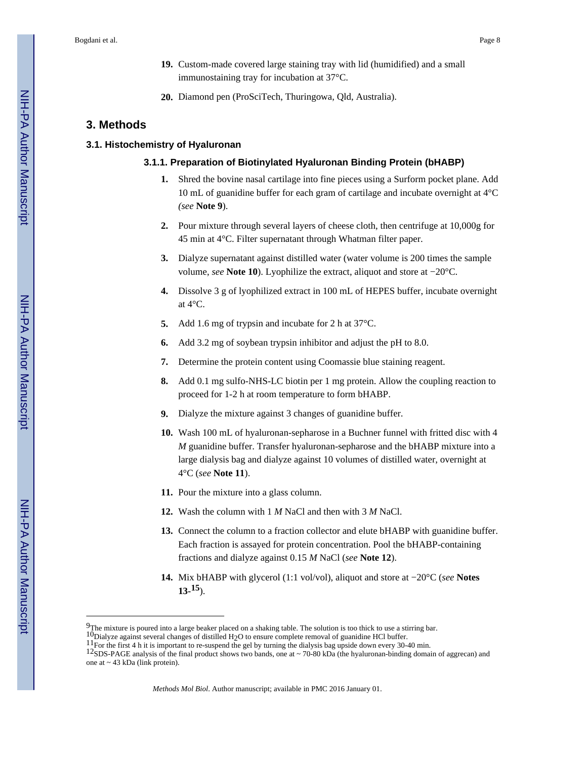- **19.** Custom-made covered large staining tray with lid (humidified) and a small immunostaining tray for incubation at 37°C.
- **20.** Diamond pen (ProSciTech, Thuringowa, Qld, Australia).

# **3. Methods**

# **3.1. Histochemistry of Hyaluronan**

#### **3.1.1. Preparation of Biotinylated Hyaluronan Binding Protein (bHABP)**

- **1.** Shred the bovine nasal cartilage into fine pieces using a Surform pocket plane. Add 10 mL of guanidine buffer for each gram of cartilage and incubate overnight at 4°C *(see* **Note 9**).
- **2.** Pour mixture through several layers of cheese cloth, then centrifuge at 10,000g for 45 min at 4°C. Filter supernatant through Whatman filter paper.
- **3.** Dialyze supernatant against distilled water (water volume is 200 times the sample volume, *see* **Note 10**). Lyophilize the extract, aliquot and store at −20°C.
- **4.** Dissolve 3 g of lyophilized extract in 100 mL of HEPES buffer, incubate overnight at 4°C.
- **5.** Add 1.6 mg of trypsin and incubate for 2 h at 37°C.
- **6.** Add 3.2 mg of soybean trypsin inhibitor and adjust the pH to 8.0.
- **7.** Determine the protein content using Coomassie blue staining reagent.
- **8.** Add 0.1 mg sulfo-NHS-LC biotin per 1 mg protein. Allow the coupling reaction to proceed for 1-2 h at room temperature to form bHABP.
- **9.** Dialyze the mixture against 3 changes of guanidine buffer.
- **10.** Wash 100 mL of hyaluronan-sepharose in a Buchner funnel with fritted disc with 4 *M* guanidine buffer. Transfer hyaluronan-sepharose and the bHABP mixture into a large dialysis bag and dialyze against 10 volumes of distilled water, overnight at 4°C (*see* **Note 11**).
- **11.** Pour the mixture into a glass column.
- **12.** Wash the column with 1 *M* NaCl and then with 3 *M* NaCl.
- **13.** Connect the column to a fraction collector and elute bHABP with guanidine buffer. Each fraction is assayed for protein concentration. Pool the bHABP-containing fractions and dialyze against 0.15 *M* NaCl (*see* **Note 12**).
- **14.** Mix bHABP with glycerol (1:1 vol/vol), aliquot and store at −20°C (*see* **Notes 13- 15**).

 $9$ The mixture is poured into a large beaker placed on a shaking table. The solution is too thick to use a stirring bar.

<sup>10</sup>Dialyze against several changes of distilled H<sub>2</sub>O to ensure complete removal of guanidine HCl buffer.

<sup>11</sup>For the first 4 h it is important to re-suspend the gel by turning the dialysis bag upside down every 30-40 min.

<sup>&</sup>lt;sup>12</sup>SDS-PAGE analysis of the final product shows two bands, one at  $\sim$  70-80 kDa (the hyaluronan-binding domain of aggrecan) and one at ~ 43 kDa (link protein).

*Methods Mol Biol*. Author manuscript; available in PMC 2016 January 01.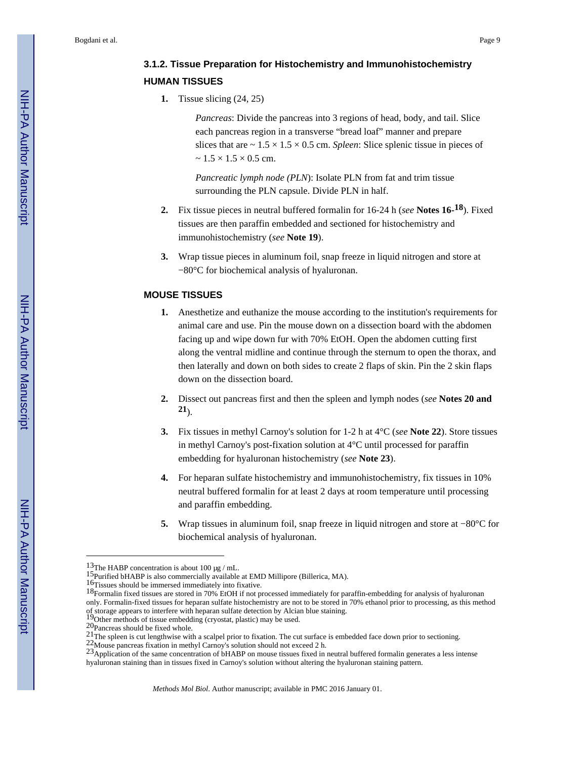# **3.1.2. Tissue Preparation for Histochemistry and Immunohistochemistry HUMAN TISSUES**

**1.** Tissue slicing (24, 25)

*Pancreas*: Divide the pancreas into 3 regions of head, body, and tail. Slice each pancreas region in a transverse "bread loaf" manner and prepare slices that are  $\sim 1.5 \times 1.5 \times 0.5$  cm. *Spleen*: Slice splenic tissue in pieces of  $\sim$  1.5  $\times$  1.5  $\times$  0.5 cm.

*Pancreatic lymph node (PLN*): Isolate PLN from fat and trim tissue surrounding the PLN capsule. Divide PLN in half.

- **2.** Fix tissue pieces in neutral buffered formalin for 16-24 h (*see* **Notes 16- 18**). Fixed tissues are then paraffin embedded and sectioned for histochemistry and immunohistochemistry (*see* **Note 19**).
- **3.** Wrap tissue pieces in aluminum foil, snap freeze in liquid nitrogen and store at −80°C for biochemical analysis of hyaluronan.

# **MOUSE TISSUES**

- **1.** Anesthetize and euthanize the mouse according to the institution's requirements for animal care and use. Pin the mouse down on a dissection board with the abdomen facing up and wipe down fur with 70% EtOH. Open the abdomen cutting first along the ventral midline and continue through the sternum to open the thorax, and then laterally and down on both sides to create 2 flaps of skin. Pin the 2 skin flaps down on the dissection board.
- **2.** Dissect out pancreas first and then the spleen and lymph nodes (*see* **Notes 20 and 21**).
- **3.** Fix tissues in methyl Carnoy's solution for 1-2 h at 4°C (*see* **Note 22**). Store tissues in methyl Carnoy's post-fixation solution at 4°C until processed for paraffin embedding for hyaluronan histochemistry (*see* **Note 23**).
- **4.** For heparan sulfate histochemistry and immunohistochemistry, fix tissues in 10% neutral buffered formalin for at least 2 days at room temperature until processing and paraffin embedding.
- **5.** Wrap tissues in aluminum foil, snap freeze in liquid nitrogen and store at −80°C for biochemical analysis of hyaluronan.

<sup>&</sup>lt;sup>13</sup>The HABP concentration is about 100 μg / mL.

<sup>&</sup>lt;sup>15</sup>Purified bHABP is also commercially available at EMD Millipore (Billerica, MA).

<sup>16</sup>Tissues should be immersed immediately into fixative.

<sup>&</sup>lt;sup>18</sup>Formalin fixed tissues are stored in 70% EtOH if not processed immediately for paraffin-embedding for analysis of hyaluronan only. Formalin-fixed tissues for heparan sulfate histochemistry are not to be stored in 70% ethanol prior to processing, as this method of storage appears to interfere with heparan sulfate detection by Alcian blue staining. 19Other methods of tissue embedding (cryostat, plastic) may be used.

<sup>20</sup>Pancreas should be fixed whole.

<sup>&</sup>lt;sup>21</sup>The spleen is cut lengthwise with a scalpel prior to fixation. The cut surface is embedded face down prior to sectioning.

<sup>22</sup>Mouse pancreas fixation in methyl Carnoy's solution should not exceed 2 h.

<sup>23</sup> Application of the same concentration of bHABP on mouse tissues fixed in neutral buffered formalin generates a less intense hyaluronan staining than in tissues fixed in Carnoy's solution without altering the hyaluronan staining pattern.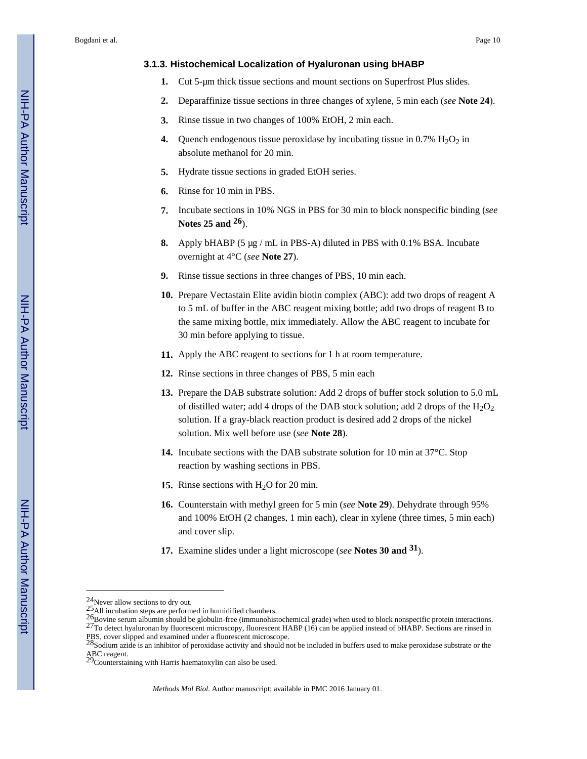#### **3.1.3. Histochemical Localization of Hyaluronan using bHABP**

- **1.** Cut 5-μm thick tissue sections and mount sections on Superfrost Plus slides.
- **2.** Deparaffinize tissue sections in three changes of xylene, 5 min each (*see* **Note 24**).
- **3.** Rinse tissue in two changes of 100% EtOH, 2 min each.
- **4.** Quench endogenous tissue peroxidase by incubating tissue in  $0.7\%$  H<sub>2</sub>O<sub>2</sub> in absolute methanol for 20 min.
- **5.** Hydrate tissue sections in graded EtOH series.
- **6.** Rinse for 10 min in PBS.
- **7.** Incubate sections in 10% NGS in PBS for 30 min to block nonspecific binding (*see*  **Notes 25 and 26**).
- **8.** Apply bHABP (5 μg / mL in PBS-A) diluted in PBS with 0.1% BSA. Incubate overnight at 4°C (*see* **Note 27**).
- **9.** Rinse tissue sections in three changes of PBS, 10 min each.
- **10.** Prepare Vectastain Elite avidin biotin complex (ABC): add two drops of reagent A to 5 mL of buffer in the ABC reagent mixing bottle; add two drops of reagent B to the same mixing bottle, mix immediately. Allow the ABC reagent to incubate for 30 min before applying to tissue.
- **11.** Apply the ABC reagent to sections for 1 h at room temperature.
- **12.** Rinse sections in three changes of PBS, 5 min each
- **13.** Prepare the DAB substrate solution: Add 2 drops of buffer stock solution to 5.0 mL of distilled water; add 4 drops of the DAB stock solution; add 2 drops of the  $H_2O_2$ solution. If a gray-black reaction product is desired add 2 drops of the nickel solution. Mix well before use (*see* **Note 28**).
- **14.** Incubate sections with the DAB substrate solution for 10 min at 37°C. Stop reaction by washing sections in PBS.
- **15.** Rinse sections with  $H_2O$  for 20 min.
- **16.** Counterstain with methyl green for 5 min (*see* **Note 29**). Dehydrate through 95% and 100% EtOH (2 changes, 1 min each), clear in xylene (three times, 5 min each) and cover slip.
- **17.** Examine slides under a light microscope (*see* **Notes 30 and 31**).

<sup>24</sup>Never allow sections to dry out.

 $^{25}$ All incubation steps are performed in humidified chambers.

 $26Bov$ ine serum albumin should be globulin-free (immunohistochemical grade) when used to block nonspecific protein interactions. 27To detect hyaluronan by fluorescent microscopy, fluorescent HABP (16) can be applied instead of bHABP. Sections are rinsed in PBS, cover slipped and examined under a fluorescent microscope.<br><sup>28</sup>Sodium azide is an inhibitor of peroxidase activity and should not be included in buffers used to make peroxidase substrate or the

ABC reagent.<br><sup>29</sup>Counterstaining with Harris haematoxylin can also be used.

*Methods Mol Biol*. Author manuscript; available in PMC 2016 January 01.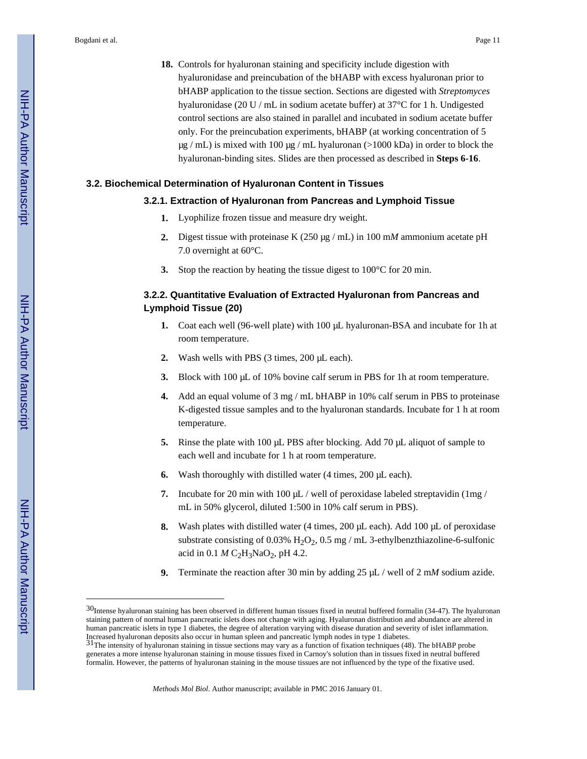**18.** Controls for hyaluronan staining and specificity include digestion with hyaluronidase and preincubation of the bHABP with excess hyaluronan prior to bHABP application to the tissue section. Sections are digested with *Streptomyces*  hyaluronidase (20 U / mL in sodium acetate buffer) at 37°C for 1 h. Undigested control sections are also stained in parallel and incubated in sodium acetate buffer only. For the preincubation experiments, bHABP (at working concentration of 5  $\mu$ g / mL) is mixed with 100  $\mu$ g / mL hyaluronan (>1000 kDa) in order to block the hyaluronan-binding sites. Slides are then processed as described in **Steps 6-16**.

# **3.2. Biochemical Determination of Hyaluronan Content in Tissues**

# **3.2.1. Extraction of Hyaluronan from Pancreas and Lymphoid Tissue**

- **1.** Lyophilize frozen tissue and measure dry weight.
- **2.** Digest tissue with proteinase K (250 μg / mL) in 100 m*M* ammonium acetate pH 7.0 overnight at 60°C.
- **3.** Stop the reaction by heating the tissue digest to 100°C for 20 min.

# **3.2.2. Quantitative Evaluation of Extracted Hyaluronan from Pancreas and Lymphoid Tissue (20)**

- **1.** Coat each well (96-well plate) with 100 μL hyaluronan-BSA and incubate for 1h at room temperature.
- **2.** Wash wells with PBS (3 times, 200 μL each).
- **3.** Block with 100 μL of 10% bovine calf serum in PBS for 1h at room temperature.
- **4.** Add an equal volume of 3 mg / mL bHABP in 10% calf serum in PBS to proteinase K-digested tissue samples and to the hyaluronan standards. Incubate for 1 h at room temperature.
- **5.** Rinse the plate with 100 μL PBS after blocking. Add 70 μL aliquot of sample to each well and incubate for 1 h at room temperature.
- **6.** Wash thoroughly with distilled water (4 times, 200 μL each).
- **7.** Incubate for 20 min with 100 μL / well of peroxidase labeled streptavidin (1mg / mL in 50% glycerol, diluted 1:500 in 10% calf serum in PBS).
- **8.** Wash plates with distilled water (4 times, 200 μL each). Add 100 μL of peroxidase substrate consisting of 0.03%  $H_2O_2$ , 0.5 mg / mL 3-ethylbenzthiazoline-6-sulfonic acid in  $0.1 M C_2H_3NaO_2$ , pH 4.2.
- **9.** Terminate the reaction after 30 min by adding 25 μL / well of 2 m*M* sodium azide.

<sup>30</sup>Intense hyaluronan staining has been observed in different human tissues fixed in neutral buffered formalin (34-47). The hyaluronan staining pattern of normal human pancreatic islets does not change with aging. Hyaluronan distribution and abundance are altered in human pancreatic islets in type 1 diabetes, the degree of alteration varying with disease duration and severity of islet inflammation. Increased hyaluronan deposits also occur in human spleen and pancreatic lymph nodes in type 1 diabetes.<br><sup>31</sup>The intensity of hyaluronan staining in tissue sections may vary as a function of fixation techniques (48). The bH

generates a more intense hyaluronan staining in mouse tissues fixed in Carnoy's solution than in tissues fixed in neutral buffered formalin. However, the patterns of hyaluronan staining in the mouse tissues are not influenced by the type of the fixative used.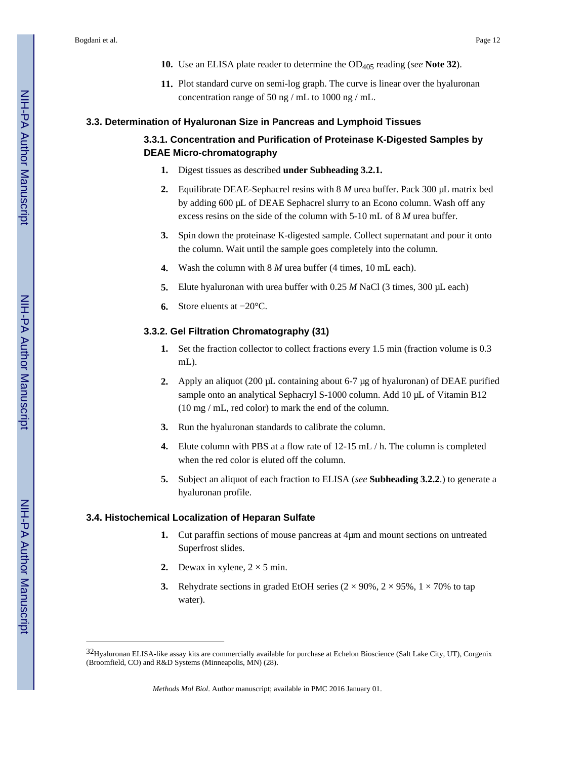- **10.** Use an ELISA plate reader to determine the OD405 reading (*see* **Note 32**).
- **11.** Plot standard curve on semi-log graph. The curve is linear over the hyaluronan concentration range of 50 ng / mL to 1000 ng / mL.

# **3.3. Determination of Hyaluronan Size in Pancreas and Lymphoid Tissues**

# **3.3.1. Concentration and Purification of Proteinase K-Digested Samples by DEAE Micro-chromatography**

- **1.** Digest tissues as described **under Subheading 3.2.1.**
- **2.** Equilibrate DEAE-Sephacrel resins with 8 *M* urea buffer. Pack 300 μL matrix bed by adding 600 μL of DEAE Sephacrel slurry to an Econo column. Wash off any excess resins on the side of the column with 5-10 mL of 8 *M* urea buffer.
- **3.** Spin down the proteinase K-digested sample. Collect supernatant and pour it onto the column. Wait until the sample goes completely into the column.
- **4.** Wash the column with 8 *M* urea buffer (4 times, 10 mL each).
- **5.** Elute hyaluronan with urea buffer with 0.25 *M* NaCl (3 times, 300 μL each)
- **6.** Store eluents at −20°C.

# **3.3.2. Gel Filtration Chromatography (31)**

- **1.** Set the fraction collector to collect fractions every 1.5 min (fraction volume is 0.3 mL).
- **2.** Apply an aliquot (200 μL containing about 6-7 μg of hyaluronan) of DEAE purified sample onto an analytical Sephacryl S-1000 column. Add 10 μL of Vitamin B12 (10 mg / mL, red color) to mark the end of the column.
- **3.** Run the hyaluronan standards to calibrate the column.
- **4.** Elute column with PBS at a flow rate of 12-15 mL / h. The column is completed when the red color is eluted off the column.
- **5.** Subject an aliquot of each fraction to ELISA (*see* **Subheading 3.2.2**.) to generate a hyaluronan profile.

# **3.4. Histochemical Localization of Heparan Sulfate**

- **1.** Cut paraffin sections of mouse pancreas at 4μm and mount sections on untreated Superfrost slides.
- **2.** Dewax in xylene,  $2 \times 5$  min.
- **3.** Rehydrate sections in graded EtOH series  $(2 \times 90\%, 2 \times 95\%, 1 \times 70\%$  to tap water).

<sup>32</sup>Hyaluronan ELISA-like assay kits are commercially available for purchase at Echelon Bioscience (Salt Lake City, UT), Corgenix (Broomfield, CO) and R&D Systems (Minneapolis, MN) (28).

*Methods Mol Biol*. Author manuscript; available in PMC 2016 January 01.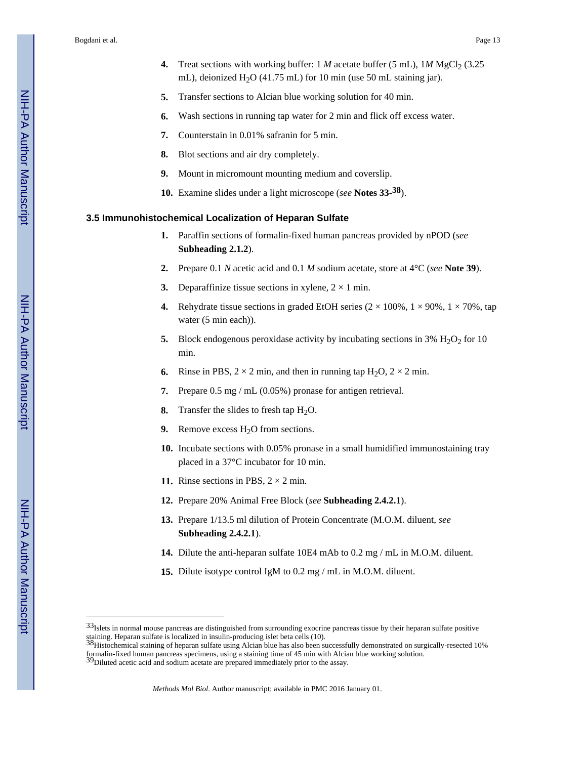- **4.** Treat sections with working buffer: 1 *M* acetate buffer (5 mL), 1*M* MgCl<sub>2</sub> (3.25) mL), deionized  $H<sub>2</sub>O$  (41.75 mL) for 10 min (use 50 mL staining jar).
- **5.** Transfer sections to Alcian blue working solution for 40 min.
- **6.** Wash sections in running tap water for 2 min and flick off excess water.
- **7.** Counterstain in 0.01% safranin for 5 min.
- **8.** Blot sections and air dry completely.
- **9.** Mount in micromount mounting medium and coverslip.
- **10.** Examine slides under a light microscope (*see* **Notes 33- 38**).

### **3.5 Immunohistochemical Localization of Heparan Sulfate**

- **1.** Paraffin sections of formalin-fixed human pancreas provided by nPOD (*see*  **Subheading 2.1.2**).
- **2.** Prepare 0.1 *N* acetic acid and 0.1 *M* sodium acetate, store at 4°C (*see* **Note 39**).
- **3.** Deparaffinize tissue sections in xylene,  $2 \times 1$  min.
- **4.** Rehydrate tissue sections in graded EtOH series  $(2 \times 100\%, 1 \times 90\%, 1 \times 70\%$ , tap water (5 min each)).
- **5.** Block endogenous peroxidase activity by incubating sections in 3%  $H_2O_2$  for 10 min.
- **6.** Rinse in PBS,  $2 \times 2$  min, and then in running tap  $H_2O$ ,  $2 \times 2$  min.
- **7.** Prepare 0.5 mg / mL (0.05%) pronase for antigen retrieval.
- **8.** Transfer the slides to fresh tap H<sub>2</sub>O.
- **9.** Remove excess  $H_2O$  from sections.
- **10.** Incubate sections with 0.05% pronase in a small humidified immunostaining tray placed in a 37°C incubator for 10 min.
- **11.** Rinse sections in PBS,  $2 \times 2$  min.
- **12.** Prepare 20% Animal Free Block (*see* **Subheading 2.4.2.1**).
- **13.** Prepare 1/13.5 ml dilution of Protein Concentrate (M.O.M. diluent, *see*  **Subheading 2.4.2.1**).
- **14.** Dilute the anti-heparan sulfate 10E4 mAb to 0.2 mg / mL in M.O.M. diluent.
- **15.** Dilute isotype control IgM to 0.2 mg / mL in M.O.M. diluent.

<sup>33</sup>Islets in normal mouse pancreas are distinguished from surrounding exocrine pancreas tissue by their heparan sulfate positive staining. Heparan sulfate is localized in insulin-producing islet beta cells (10).<br><sup>38</sup>Histochemical staining of heparan sulfate using Alcian blue has also been successfully demonstrated on surgically-resected 10%

formalin-fixed human pancreas specimens, using a staining time of 45 min with Alcian blue working solution. 39Diluted acetic acid and sodium acetate are prepared immediately prior to the assay.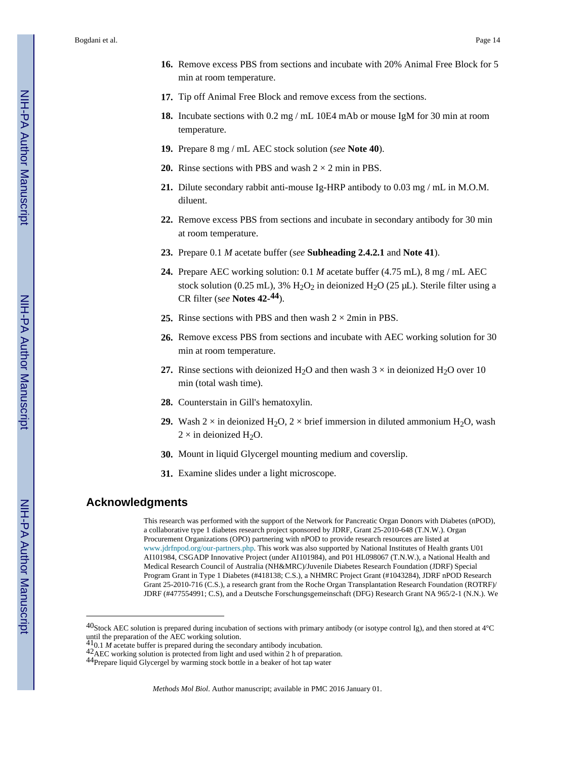- **16.** Remove excess PBS from sections and incubate with 20% Animal Free Block for 5 min at room temperature.
- **17.** Tip off Animal Free Block and remove excess from the sections.
- **18.** Incubate sections with 0.2 mg / mL 10E4 mAb or mouse IgM for 30 min at room temperature.
- **19.** Prepare 8 mg / mL AEC stock solution (*see* **Note 40**).
- **20.** Rinse sections with PBS and wash  $2 \times 2$  min in PBS.
- **21.** Dilute secondary rabbit anti-mouse Ig-HRP antibody to 0.03 mg / mL in M.O.M. diluent.
- **22.** Remove excess PBS from sections and incubate in secondary antibody for 30 min at room temperature.
- **23.** Prepare 0.1 *M* acetate buffer (*see* **Subheading 2.4.2.1** and **Note 41**).
- **24.** Prepare AEC working solution: 0.1 *M* acetate buffer (4.75 mL), 8 mg / mL AEC stock solution (0.25 mL),  $3\%$  H<sub>2</sub>O<sub>2</sub> in deionized H<sub>2</sub>O (25 µL). Sterile filter using a CR filter (s*ee* **Notes 42- 44**).
- **25.** Rinse sections with PBS and then wash  $2 \times 2$  min in PBS.
- **26.** Remove excess PBS from sections and incubate with AEC working solution for 30 min at room temperature.
- **27.** Rinse sections with deionized H<sub>2</sub>O and then wash  $3 \times$  in deionized H<sub>2</sub>O over 10 min (total wash time).
- **28.** Counterstain in Gill's hematoxylin.
- **29.** Wash 2 × in deionized H<sub>2</sub>O, 2 × brief immersion in diluted ammonium H<sub>2</sub>O, wash  $2 \times$  in deionized H<sub>2</sub>O.
- **30.** Mount in liquid Glycergel mounting medium and coverslip.
- **31.** Examine slides under a light microscope.

# **Acknowledgments**

This research was performed with the support of the Network for Pancreatic Organ Donors with Diabetes (nPOD), a collaborative type 1 diabetes research project sponsored by JDRF, Grant 25-2010-648 (T.N.W.). Organ Procurement Organizations (OPO) partnering with nPOD to provide research resources are listed at [www.jdrfnpod.org/our-partners.php.](http://www.jdrfnpod.org/our-partners.php) This work was also supported by National Institutes of Health grants U01 AI101984, CSGADP Innovative Project (under AI101984), and P01 HL098067 (T.N.W.), a National Health and Medical Research Council of Australia (NH&MRC)/Juvenile Diabetes Research Foundation (JDRF) Special Program Grant in Type 1 Diabetes (#418138; C.S.), a NHMRC Project Grant (#1043284), JDRF nPOD Research Grant 25-2010-716 (C.S.), a research grant from the Roche Organ Transplantation Research Foundation (ROTRF)/ JDRF (#477554991; C.S), and a Deutsche Forschungsgemeinschaft (DFG) Research Grant NA 965/2-1 (N.N.). We

 $40$ Stock AEC solution is prepared during incubation of sections with primary antibody (or isotype control Ig), and then stored at  $4^{\circ}$ C until the preparation of the AEC working solution. 410.1 *M* acetate buffer is prepared during the secondary antibody incubation.

<sup>42</sup>AEC working solution is protected from light and used within 2 h of preparation.

<sup>44</sup>Prepare liquid Glycergel by warming stock bottle in a beaker of hot tap water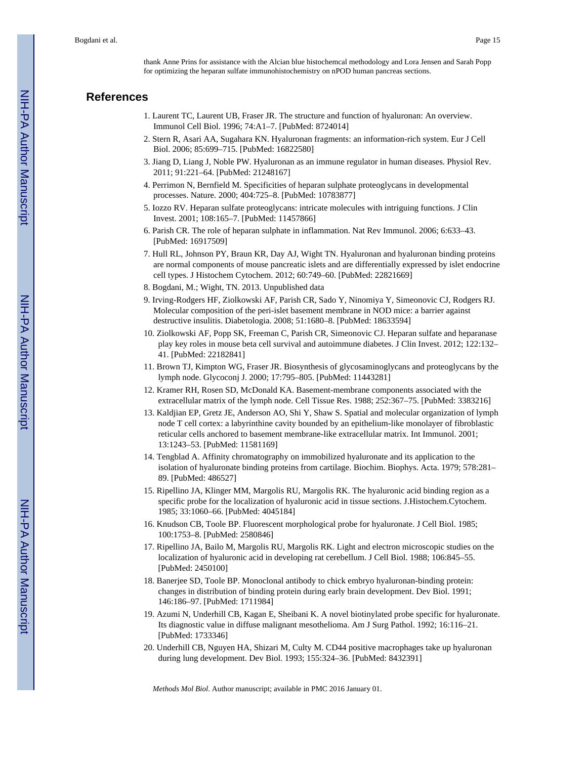thank Anne Prins for assistance with the Alcian blue histochemcal methodology and Lora Jensen and Sarah Popp for optimizing the heparan sulfate immunohistochemistry on nPOD human pancreas sections.

# **References**

- 1. Laurent TC, Laurent UB, Fraser JR. The structure and function of hyaluronan: An overview. Immunol Cell Biol. 1996; 74:A1–7. [PubMed: 8724014]
- 2. Stern R, Asari AA, Sugahara KN. Hyaluronan fragments: an information-rich system. Eur J Cell Biol. 2006; 85:699–715. [PubMed: 16822580]
- 3. Jiang D, Liang J, Noble PW. Hyaluronan as an immune regulator in human diseases. Physiol Rev. 2011; 91:221–64. [PubMed: 21248167]
- 4. Perrimon N, Bernfield M. Specificities of heparan sulphate proteoglycans in developmental processes. Nature. 2000; 404:725–8. [PubMed: 10783877]
- 5. Iozzo RV. Heparan sulfate proteoglycans: intricate molecules with intriguing functions. J Clin Invest. 2001; 108:165–7. [PubMed: 11457866]
- 6. Parish CR. The role of heparan sulphate in inflammation. Nat Rev Immunol. 2006; 6:633–43. [PubMed: 16917509]
- 7. Hull RL, Johnson PY, Braun KR, Day AJ, Wight TN. Hyaluronan and hyaluronan binding proteins are normal components of mouse pancreatic islets and are differentially expressed by islet endocrine cell types. J Histochem Cytochem. 2012; 60:749–60. [PubMed: 22821669]
- 8. Bogdani, M.; Wight, TN. 2013. Unpublished data
- 9. Irving-Rodgers HF, Ziolkowski AF, Parish CR, Sado Y, Ninomiya Y, Simeonovic CJ, Rodgers RJ. Molecular composition of the peri-islet basement membrane in NOD mice: a barrier against destructive insulitis. Diabetologia. 2008; 51:1680–8. [PubMed: 18633594]
- 10. Ziolkowski AF, Popp SK, Freeman C, Parish CR, Simeonovic CJ. Heparan sulfate and heparanase play key roles in mouse beta cell survival and autoimmune diabetes. J Clin Invest. 2012; 122:132– 41. [PubMed: 22182841]
- 11. Brown TJ, Kimpton WG, Fraser JR. Biosynthesis of glycosaminoglycans and proteoglycans by the lymph node. Glycoconj J. 2000; 17:795–805. [PubMed: 11443281]
- 12. Kramer RH, Rosen SD, McDonald KA. Basement-membrane components associated with the extracellular matrix of the lymph node. Cell Tissue Res. 1988; 252:367–75. [PubMed: 3383216]
- 13. Kaldjian EP, Gretz JE, Anderson AO, Shi Y, Shaw S. Spatial and molecular organization of lymph node T cell cortex: a labyrinthine cavity bounded by an epithelium-like monolayer of fibroblastic reticular cells anchored to basement membrane-like extracellular matrix. Int Immunol. 2001; 13:1243–53. [PubMed: 11581169]
- 14. Tengblad A. Affinity chromatography on immobilized hyaluronate and its application to the isolation of hyaluronate binding proteins from cartilage. Biochim. Biophys. Acta. 1979; 578:281– 89. [PubMed: 486527]
- 15. Ripellino JA, Klinger MM, Margolis RU, Margolis RK. The hyaluronic acid binding region as a specific probe for the localization of hyaluronic acid in tissue sections. J.Histochem.Cytochem. 1985; 33:1060–66. [PubMed: 4045184]
- 16. Knudson CB, Toole BP. Fluorescent morphological probe for hyaluronate. J Cell Biol. 1985; 100:1753–8. [PubMed: 2580846]
- 17. Ripellino JA, Bailo M, Margolis RU, Margolis RK. Light and electron microscopic studies on the localization of hyaluronic acid in developing rat cerebellum. J Cell Biol. 1988; 106:845–55. [PubMed: 2450100]
- 18. Banerjee SD, Toole BP. Monoclonal antibody to chick embryo hyaluronan-binding protein: changes in distribution of binding protein during early brain development. Dev Biol. 1991; 146:186–97. [PubMed: 1711984]
- 19. Azumi N, Underhill CB, Kagan E, Sheibani K. A novel biotinylated probe specific for hyaluronate. Its diagnostic value in diffuse malignant mesothelioma. Am J Surg Pathol. 1992; 16:116–21. [PubMed: 1733346]
- 20. Underhill CB, Nguyen HA, Shizari M, Culty M. CD44 positive macrophages take up hyaluronan during lung development. Dev Biol. 1993; 155:324–36. [PubMed: 8432391]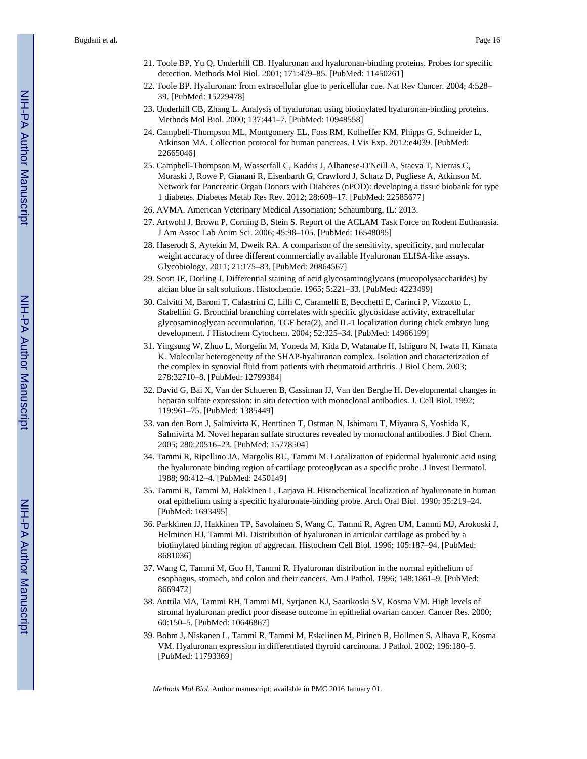- 21. Toole BP, Yu Q, Underhill CB. Hyaluronan and hyaluronan-binding proteins. Probes for specific detection. Methods Mol Biol. 2001; 171:479–85. [PubMed: 11450261]
- 22. Toole BP. Hyaluronan: from extracellular glue to pericellular cue. Nat Rev Cancer. 2004; 4:528– 39. [PubMed: 15229478]
- 23. Underhill CB, Zhang L. Analysis of hyaluronan using biotinylated hyaluronan-binding proteins. Methods Mol Biol. 2000; 137:441–7. [PubMed: 10948558]
- 24. Campbell-Thompson ML, Montgomery EL, Foss RM, Kolheffer KM, Phipps G, Schneider L, Atkinson MA. Collection protocol for human pancreas. J Vis Exp. 2012:e4039. [PubMed: 22665046]
- 25. Campbell-Thompson M, Wasserfall C, Kaddis J, Albanese-O'Neill A, Staeva T, Nierras C, Moraski J, Rowe P, Gianani R, Eisenbarth G, Crawford J, Schatz D, Pugliese A, Atkinson M. Network for Pancreatic Organ Donors with Diabetes (nPOD): developing a tissue biobank for type 1 diabetes. Diabetes Metab Res Rev. 2012; 28:608–17. [PubMed: 22585677]
- 26. AVMA. American Veterinary Medical Association; Schaumburg, IL: 2013.
- 27. Artwohl J, Brown P, Corning B, Stein S. Report of the ACLAM Task Force on Rodent Euthanasia. J Am Assoc Lab Anim Sci. 2006; 45:98–105. [PubMed: 16548095]
- 28. Haserodt S, Aytekin M, Dweik RA. A comparison of the sensitivity, specificity, and molecular weight accuracy of three different commercially available Hyaluronan ELISA-like assays. Glycobiology. 2011; 21:175–83. [PubMed: 20864567]
- 29. Scott JE, Dorling J. Differential staining of acid glycosaminoglycans (mucopolysaccharides) by alcian blue in salt solutions. Histochemie. 1965; 5:221–33. [PubMed: 4223499]
- 30. Calvitti M, Baroni T, Calastrini C, Lilli C, Caramelli E, Becchetti E, Carinci P, Vizzotto L, Stabellini G. Bronchial branching correlates with specific glycosidase activity, extracellular glycosaminoglycan accumulation, TGF beta(2), and IL-1 localization during chick embryo lung development. J Histochem Cytochem. 2004; 52:325–34. [PubMed: 14966199]
- 31. Yingsung W, Zhuo L, Morgelin M, Yoneda M, Kida D, Watanabe H, Ishiguro N, Iwata H, Kimata K. Molecular heterogeneity of the SHAP-hyaluronan complex. Isolation and characterization of the complex in synovial fluid from patients with rheumatoid arthritis. J Biol Chem. 2003; 278:32710–8. [PubMed: 12799384]
- 32. David G, Bai X, Van der Schueren B, Cassiman JJ, Van den Berghe H. Developmental changes in heparan sulfate expression: in situ detection with monoclonal antibodies. J. Cell Biol. 1992; 119:961–75. [PubMed: 1385449]
- 33. van den Born J, Salmivirta K, Henttinen T, Ostman N, Ishimaru T, Miyaura S, Yoshida K, Salmivirta M. Novel heparan sulfate structures revealed by monoclonal antibodies. J Biol Chem. 2005; 280:20516–23. [PubMed: 15778504]
- 34. Tammi R, Ripellino JA, Margolis RU, Tammi M. Localization of epidermal hyaluronic acid using the hyaluronate binding region of cartilage proteoglycan as a specific probe. J Invest Dermatol. 1988; 90:412–4. [PubMed: 2450149]
- 35. Tammi R, Tammi M, Hakkinen L, Larjava H. Histochemical localization of hyaluronate in human oral epithelium using a specific hyaluronate-binding probe. Arch Oral Biol. 1990; 35:219–24. [PubMed: 1693495]
- 36. Parkkinen JJ, Hakkinen TP, Savolainen S, Wang C, Tammi R, Agren UM, Lammi MJ, Arokoski J, Helminen HJ, Tammi MI. Distribution of hyaluronan in articular cartilage as probed by a biotinylated binding region of aggrecan. Histochem Cell Biol. 1996; 105:187–94. [PubMed: 8681036]
- 37. Wang C, Tammi M, Guo H, Tammi R. Hyaluronan distribution in the normal epithelium of esophagus, stomach, and colon and their cancers. Am J Pathol. 1996; 148:1861–9. [PubMed: 8669472]
- 38. Anttila MA, Tammi RH, Tammi MI, Syrjanen KJ, Saarikoski SV, Kosma VM. High levels of stromal hyaluronan predict poor disease outcome in epithelial ovarian cancer. Cancer Res. 2000; 60:150–5. [PubMed: 10646867]
- 39. Bohm J, Niskanen L, Tammi R, Tammi M, Eskelinen M, Pirinen R, Hollmen S, Alhava E, Kosma VM. Hyaluronan expression in differentiated thyroid carcinoma. J Pathol. 2002; 196:180–5. [PubMed: 11793369]